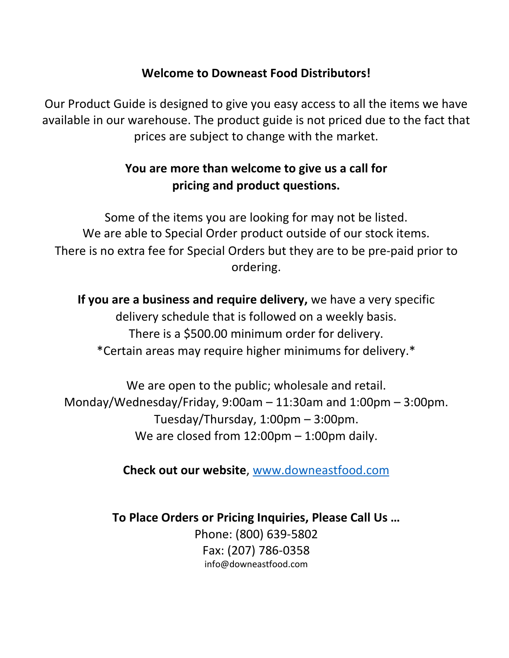# **Welcome to Downeast Food Distributors!**

Our Product Guide is designed to give you easy access to all the items we have available in our warehouse. The product guide is not priced due to the fact that prices are subject to change with the market.

# **You are more than welcome to give us a call for pricing and product questions.**

Some of the items you are looking for may not be listed. We are able to Special Order product outside of our stock items. There is no extra fee for Special Orders but they are to be pre-paid prior to ordering.

**If you are a business and require delivery,** we have a very specific delivery schedule that is followed on a weekly basis. There is a \$500.00 minimum order for delivery. \*Certain areas may require higher minimums for delivery.\*

We are open to the public; wholesale and retail. Monday/Wednesday/Friday, 9:00am – 11:30am and 1:00pm – 3:00pm. Tuesday/Thursday, 1:00pm – 3:00pm. We are closed from 12:00pm - 1:00pm daily.

**Check out our website**, [www.downeastfood.com](http://www.downeastfood.com/) 

**To Place Orders or Pricing Inquiries, Please Call Us …** Phone: (800) 639-5802 Fax: (207) 786-0358 info@downeastfood.com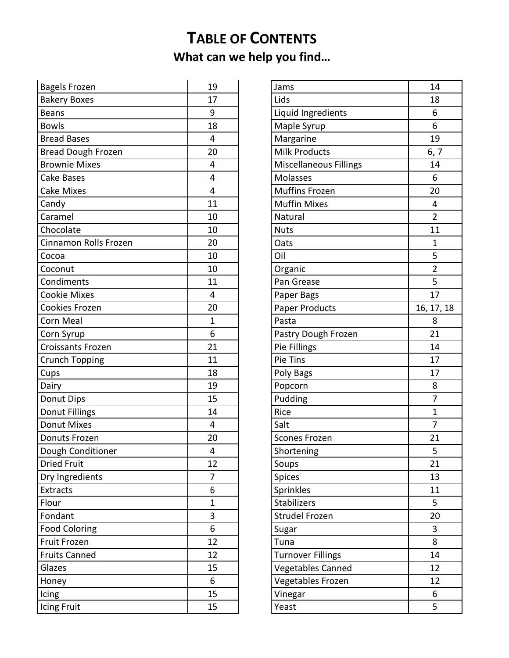# **TABLE OF CONTENTS What can we help you find…**

| <b>Bagels Frozen</b>     | 19             |
|--------------------------|----------------|
| <b>Bakery Boxes</b>      | 17             |
| <b>Beans</b>             | 9              |
| <b>Bowls</b>             | 18             |
| <b>Bread Bases</b>       | 4              |
| Bread Dough Frozen       | 20             |
| <b>Brownie Mixes</b>     | 4              |
| <b>Cake Bases</b>        | 4              |
| <b>Cake Mixes</b>        | 4              |
| Candy                    | 11             |
| Caramel                  | 10             |
| Chocolate                | 10             |
| Cinnamon Rolls Frozen    | 20             |
| Cocoa                    | 10             |
| Coconut                  | 10             |
| Condiments               | 11             |
| <b>Cookie Mixes</b>      | 4              |
| Cookies Frozen           | 20             |
| Corn Meal                | $\mathbf 1$    |
| Corn Syrup               | 6              |
| <b>Croissants Frozen</b> | 21             |
| <b>Crunch Topping</b>    | 11             |
| Cups                     | 18             |
| Dairy                    | 19             |
| Donut Dips               | 15             |
| Donut Fillings           | 14             |
| <b>Donut Mixes</b>       | 4              |
| Donuts Frozen            | 20             |
| Dough Conditioner        | 4              |
| <b>Dried Fruit</b>       | 12             |
| Dry Ingredients          | 7              |
| <b>Extracts</b>          | 6              |
| Flour                    | $\overline{1}$ |
| Fondant                  | 3              |
| <b>Food Coloring</b>     | 6              |
| Fruit Frozen             | 12             |
| <b>Fruits Canned</b>     | 12             |
| Glazes                   | 15             |
| Honey                    | 6              |
| Icing                    | 15             |
| Icing Fruit              | 15             |

| Jams                          | 14             |
|-------------------------------|----------------|
| Lids                          | 18             |
| Liquid Ingredients            | 6              |
| Maple Syrup                   | 6              |
| Margarine                     | 19             |
| <b>Milk Products</b>          | 6, 7           |
| <b>Miscellaneous Fillings</b> | 14             |
| Molasses                      | 6              |
| <b>Muffins Frozen</b>         | 20             |
| <b>Muffin Mixes</b>           | 4              |
| Natural                       | $\overline{2}$ |
| <b>Nuts</b>                   | 11             |
| Oats                          | 1              |
| Oil                           | 5              |
| Organic                       | $\overline{2}$ |
| Pan Grease                    | 5              |
| Paper Bags                    | 17             |
| Paper Products                | 16, 17, 18     |
| Pasta                         | 8              |
| Pastry Dough Frozen           | 21             |
| Pie Fillings                  | 14             |
| Pie Tins                      | 17             |
| Poly Bags                     | 17             |
| Popcorn                       | 8              |
| Pudding                       | 7              |
| Rice                          | 1              |
| Salt                          | 7              |
| <b>Scones Frozen</b>          | 21             |
| Shortening                    | 5              |
| Soups                         | 21             |
| Spices                        | 13             |
| Sprinkles                     | 11             |
| <b>Stabilizers</b>            | 5              |
| <b>Strudel Frozen</b>         | 20             |
| Sugar                         | 3              |
| Tuna                          | 8              |
| <b>Turnover Fillings</b>      | 14             |
| Vegetables Canned             | 12             |
| Vegetables Frozen             | 12             |
| Vinegar                       | 6              |
| Yeast                         | 5              |
|                               |                |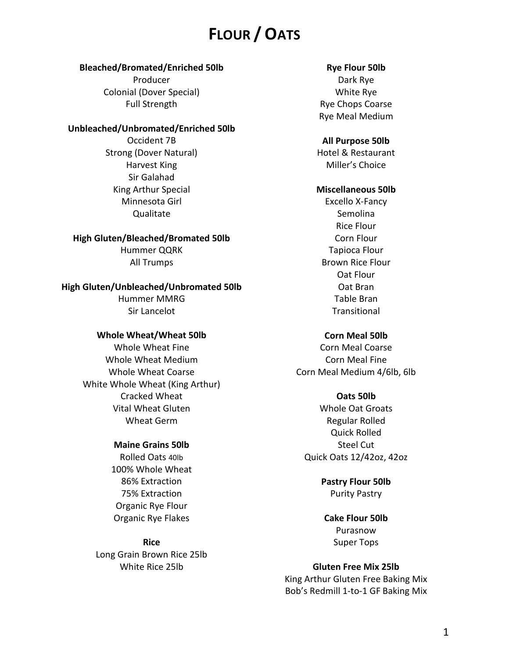# **FLOUR / OATS**

### **Bleached/Bromated/Enriched 50lb**

Producer Colonial (Dover Special) Full Strength

## **Unbleached/Unbromated/Enriched 50lb**

Occident 7B Strong (Dover Natural) Harvest King Sir Galahad King Arthur Special Minnesota Girl Qualitate

**High Gluten/Bleached/Bromated 50lb** Hummer QQRK All Trumps

**High Gluten/Unbleached/Unbromated 50lb** Hummer MMRG Sir Lancelot

#### **Whole Wheat/Wheat 50lb**

Whole Wheat Fine Whole Wheat Medium Whole Wheat Coarse White Whole Wheat (King Arthur) Cracked Wheat Vital Wheat Gluten Wheat Germ

#### **Maine Grains 50lb**

Rolled Oats 40lb 100% Whole Wheat 86% Extraction 75% Extraction Organic Rye Flour Organic Rye Flakes

**Rice** Long Grain Brown Rice 25lb White Rice 25lb

### **Rye Flour 50lb**

Dark Rye White Rye Rye Chops Coarse Rye Meal Medium

#### **All Purpose 50lb**

Hotel & Restaurant Miller's Choice

## **Miscellaneous 50lb**

Excello X-Fancy Semolina Rice Flour Corn Flour Tapioca Flour Brown Rice Flour Oat Flour Oat Bran Table Bran Transitional

#### **Corn Meal 50lb**

Corn Meal Coarse Corn Meal Fine Corn Meal Medium 4/6lb, 6lb

#### **Oats 50lb**

Whole Oat Groats Regular Rolled Quick Rolled Steel Cut Quick Oats 12/42oz, 42oz

> **Pastry Flour 50lb** Purity Pastry

**Cake Flour 50lb** Purasnow Super Tops

## **Gluten Free Mix 25lb**

King Arthur Gluten Free Baking Mix Bob's Redmill 1-to-1 GF Baking Mix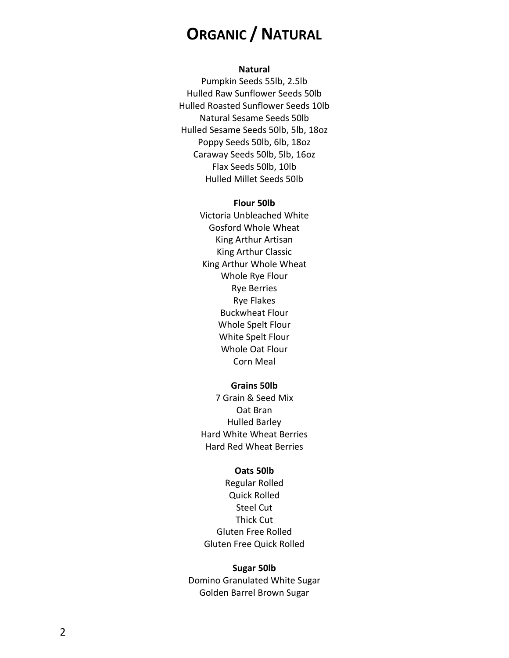# **ORGANIC / NATURAL**

#### **Natural**

Pumpkin Seeds 55lb, 2.5lb Hulled Raw Sunflower Seeds 50lb Hulled Roasted Sunflower Seeds 10lb Natural Sesame Seeds 50lb Hulled Sesame Seeds 50lb, 5lb, 18oz Poppy Seeds 50lb, 6lb, 18oz Caraway Seeds 50lb, 5lb, 16oz Flax Seeds 50lb, 10lb Hulled Millet Seeds 50lb

#### **Flour 50lb**

Victoria Unbleached White Gosford Whole Wheat King Arthur Artisan King Arthur Classic King Arthur Whole Wheat Whole Rye Flour Rye Berries Rye Flakes Buckwheat Flour Whole Spelt Flour White Spelt Flour Whole Oat Flour Corn Meal

#### **Grains 50lb**

7 Grain & Seed Mix Oat Bran Hulled Barley Hard White Wheat Berries Hard Red Wheat Berries

#### **Oats 50lb**

Regular Rolled Quick Rolled Steel Cut Thick Cut Gluten Free Rolled Gluten Free Quick Rolled

#### **Sugar 50lb**

Domino Granulated White Sugar Golden Barrel Brown Sugar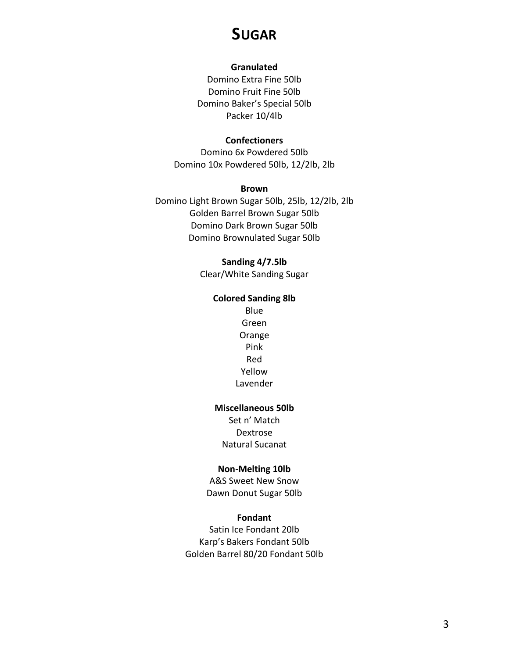# **SUGAR**

### **Granulated**

Domino Extra Fine 50lb Domino Fruit Fine 50lb Domino Baker's Special 50lb Packer 10/4lb

### **Confectioners**

Domino 6x Powdered 50lb Domino 10x Powdered 50lb, 12/2lb, 2lb

#### **Brown**

Domino Light Brown Sugar 50lb, 25lb, 12/2lb, 2lb Golden Barrel Brown Sugar 50lb Domino Dark Brown Sugar 50lb Domino Brownulated Sugar 50lb

## **Sanding 4/7.5lb**

Clear/White Sanding Sugar

## **Colored Sanding 8lb**

Blue Green Orange Pink Red Yellow Lavender

## **Miscellaneous 50lb**

Set n' Match Dextrose Natural Sucanat

#### **Non-Melting 10lb**

A&S Sweet New Snow Dawn Donut Sugar 50lb

#### **Fondant**

Satin Ice Fondant 20lb Karp's Bakers Fondant 50lb Golden Barrel 80/20 Fondant 50lb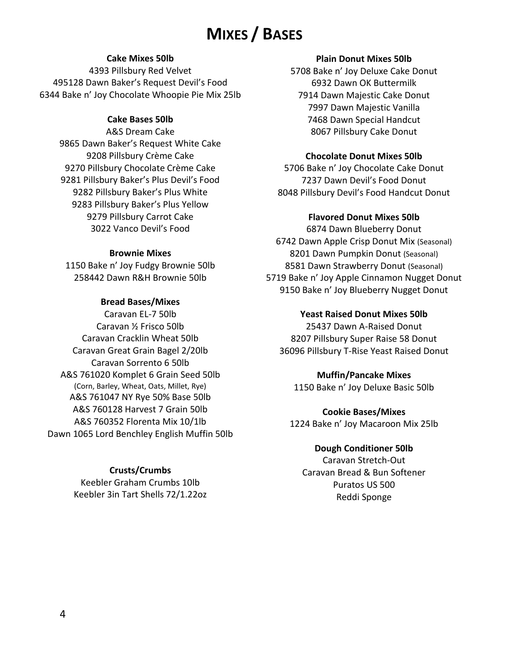# **MIXES / BASES**

## **Cake Mixes 50lb**

4393 Pillsbury Red Velvet 495128 Dawn Baker's Request Devil's Food 6344 Bake n' Joy Chocolate Whoopie Pie Mix 25lb

## **Cake Bases 50lb**

A&S Dream Cake 9865 Dawn Baker's Request White Cake 9208 Pillsbury Crème Cake 9270 Pillsbury Chocolate Crème Cake 9281 Pillsbury Baker's Plus Devil's Food 9282 Pillsbury Baker's Plus White 9283 Pillsbury Baker's Plus Yellow 9279 Pillsbury Carrot Cake 3022 Vanco Devil's Food

## **Brownie Mixes**

1150 Bake n' Joy Fudgy Brownie 50lb 258442 Dawn R&H Brownie 50lb

## **Bread Bases/Mixes**

Caravan EL-7 50lb Caravan ½ Frisco 50lb Caravan Cracklin Wheat 50lb Caravan Great Grain Bagel 2/20lb Caravan Sorrento 6 50lb A&S 761020 Komplet 6 Grain Seed 50lb (Corn, Barley, Wheat, Oats, Millet, Rye) A&S 761047 NY Rye 50% Base 50lb A&S 760128 Harvest 7 Grain 50lb A&S 760352 Florenta Mix 10/1lb Dawn 1065 Lord Benchley English Muffin 50lb

## **Crusts/Crumbs**

Keebler Graham Crumbs 10lb Keebler 3in Tart Shells 72/1.22oz

## **Plain Donut Mixes 50lb**

5708 Bake n' Joy Deluxe Cake Donut 6932 Dawn OK Buttermilk 7914 Dawn Majestic Cake Donut 7997 Dawn Majestic Vanilla 7468 Dawn Special Handcut 8067 Pillsbury Cake Donut

## **Chocolate Donut Mixes 50lb**

5706 Bake n' Joy Chocolate Cake Donut 7237 Dawn Devil's Food Donut 8048 Pillsbury Devil's Food Handcut Donut

## **Flavored Donut Mixes 50lb**

6874 Dawn Blueberry Donut 6742 Dawn Apple Crisp Donut Mix (Seasonal) 8201 Dawn Pumpkin Donut (Seasonal) 8581 Dawn Strawberry Donut (Seasonal) 5719 Bake n' Joy Apple Cinnamon Nugget Donut 9150 Bake n' Joy Blueberry Nugget Donut

## **Yeast Raised Donut Mixes 50lb**

25437 Dawn A-Raised Donut 8207 Pillsbury Super Raise 58 Donut 36096 Pillsbury T-Rise Yeast Raised Donut

## **Muffin/Pancake Mixes**

1150 Bake n' Joy Deluxe Basic 50lb

**Cookie Bases/Mixes** 1224 Bake n' Joy Macaroon Mix 25lb

## **Dough Conditioner 50lb**

Caravan Stretch-Out Caravan Bread & Bun Softener Puratos US 500 Reddi Sponge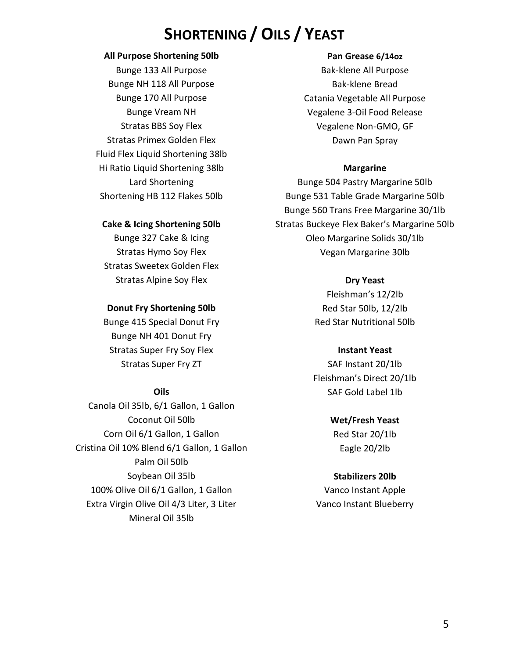# **SHORTENING / OILS / YEAST**

### **All Purpose Shortening 50lb**

Bunge 133 All Purpose Bunge NH 118 All Purpose Bunge 170 All Purpose Bunge Vream NH Stratas BBS Soy Flex Stratas Primex Golden Flex Fluid Flex Liquid Shortening 38lb Hi Ratio Liquid Shortening 38lb Lard Shortening Shortening HB 112 Flakes 50lb

#### **Pan Grease 6/14oz**

Bak-klene All Purpose Bak-klene Bread Catania Vegetable All Purpose Vegalene 3-Oil Food Release Vegalene Non-GMO, GF Dawn Pan Spray

## **Margarine**

Bunge 504 Pastry Margarine 50lb Bunge 531 Table Grade Margarine 50lb Bunge 560 Trans Free Margarine 30/1lb Stratas Buckeye Flex Baker's Margarine 50lb Oleo Margarine Solids 30/1lb Vegan Margarine 30lb

## **Dry Yeast**

Fleishman's 12/2lb Red Star 50lb, 12/2lb Red Star Nutritional 50lb

## **Instant Yeast**

SAF Instant 20/1lb Fleishman's Direct 20/1lb SAF Gold Label 1lb

# **Wet/Fresh Yeast**

Red Star 20/1lb Eagle 20/2lb

## **Stabilizers 20lb**

Vanco Instant Apple Vanco Instant Blueberry

## **Cake & Icing Shortening 50lb**

Bunge 327 Cake & Icing Stratas Hymo Soy Flex Stratas Sweetex Golden Flex Stratas Alpine Soy Flex

## **Donut Fry Shortening 50lb**

Bunge 415 Special Donut Fry Bunge NH 401 Donut Fry Stratas Super Fry Soy Flex Stratas Super Fry ZT

## **Oils**

Canola Oil 35lb, 6/1 Gallon, 1 Gallon Coconut Oil 50lb Corn Oil 6/1 Gallon, 1 Gallon Cristina Oil 10% Blend 6/1 Gallon, 1 Gallon Palm Oil 50lb Soybean Oil 35lb 100% Olive Oil 6/1 Gallon, 1 Gallon Extra Virgin Olive Oil 4/3 Liter, 3 Liter Mineral Oil 35lb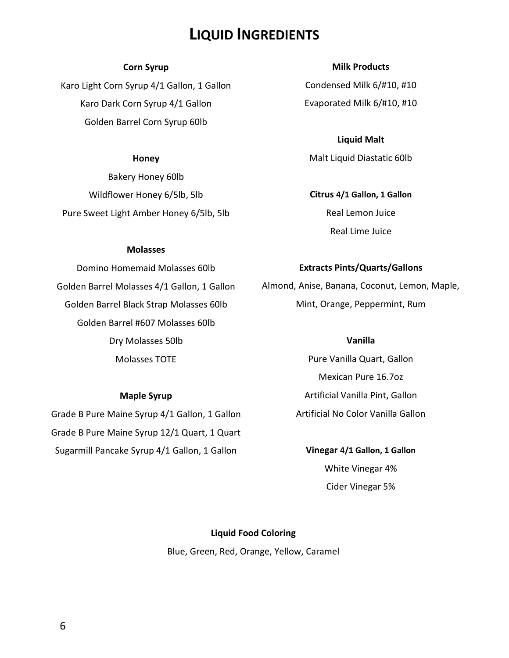# **LIQUID INGREDIENTS**

#### **Corn Syrup**

Karo Light Corn Syrup 4/1 Gallon, 1 Gallon Karo Dark Corn Syrup 4/1 Gallon Golden Barrel Corn Syrup 60lb

#### **Honey**

Bakery Honey 60lb Wildflower Honey 6/5lb, 5lb Pure Sweet Light Amber Honey 6/5lb, 5lb

#### **Milk Products**

Condensed Milk 6/#10, #10 Evaporated Milk 6/#10, #10

**Liquid Malt** Malt Liquid Diastatic 60lb

**Citrus 4/1 Gallon, 1 Gallon** Real Lemon Juice Real Lime Juice

#### **Molasses**

Domino Homemaid Molasses 60lb Golden Barrel Molasses 4/1 Gallon, 1 Gallon Golden Barrel Black Strap Molasses 60lb Golden Barrel #607 Molasses 60lb Dry Molasses 50lb Molasses TOTE

#### **Maple Syrup**

Grade B Pure Maine Syrup 4/1 Gallon, 1 Gallon Grade B Pure Maine Syrup 12/1 Quart, 1 Quart Sugarmill Pancake Syrup 4/1 Gallon, 1 Gallon

#### **Extracts Pints/Quarts/Gallons**

Almond, Anise, Banana, Coconut, Lemon, Maple, Mint, Orange, Peppermint, Rum

### **Vanilla**

Pure Vanilla Quart, Gallon Mexican Pure 16.7oz Artificial Vanilla Pint, Gallon Artificial No Color Vanilla Gallon

**Vinegar 4/1 Gallon, 1 Gallon** White Vinegar 4% Cider Vinegar 5%

## **Liquid Food Coloring**

Blue, Green, Red, Orange, Yellow, Caramel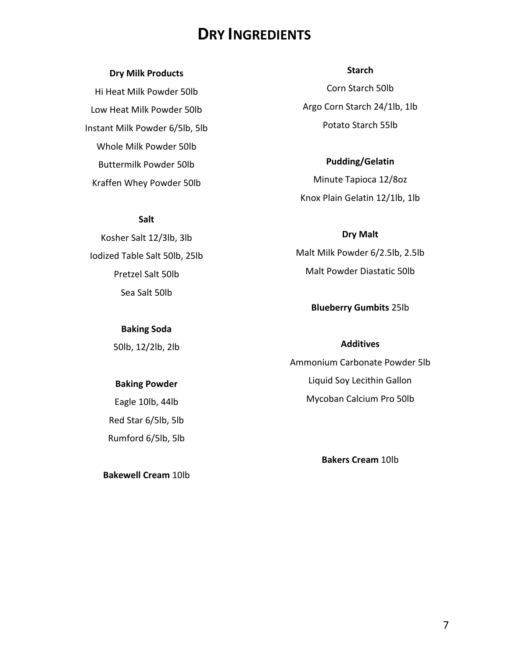# **DRY INGREDIENTS**

## **Dry Milk Products**

Hi Heat Milk Powder 50lb Low Heat Milk Powder 50lb Instant Milk Powder 6/5lb, 5lb Whole Milk Powder 50lb Buttermilk Powder 50lb Kraffen Whey Powder 50lb

### **Salt**

Kosher Salt 12/3lb, 3lb Iodized Table Salt 50lb, 25lb Pretzel Salt 50lb Sea Salt 50lb

**Baking Soda**

50lb, 12/2lb, 2lb

#### **Baking Powder**

Eagle 10lb, 44lb Red Star 6/5lb, 5lb Rumford 6/5lb, 5lb

**Bakewell Cream** 10lb

#### **Starch**

Corn Starch 50lb Argo Corn Starch 24/1lb, 1lb Potato Starch 55lb

**Pudding/Gelatin** Minute Tapioca 12/8oz Knox Plain Gelatin 12/1lb, 1lb

**Dry Malt** Malt Milk Powder 6/2.5lb, 2.5lb Malt Powder Diastatic 50lb

### **Blueberry Gumbits** 25lb

### **Additives**

Ammonium Carbonate Powder 5lb Liquid Soy Lecithin Gallon Mycoban Calcium Pro 50lb

**Bakers Cream** 10lb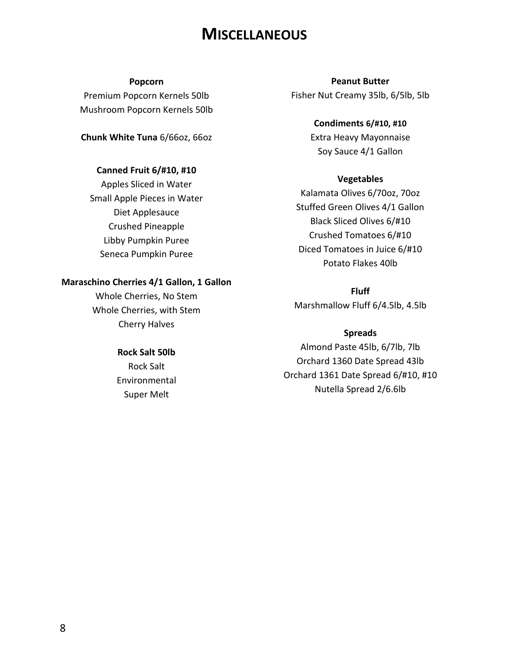# **MISCELLANEOUS**

#### **Popcorn**

Premium Popcorn Kernels 50lb Mushroom Popcorn Kernels 50lb

**Chunk White Tuna** 6/66oz, 66oz

## **Canned Fruit 6/#10, #10**

Apples Sliced in Water Small Apple Pieces in Water Diet Applesauce Crushed Pineapple Libby Pumpkin Puree Seneca Pumpkin Puree

### **Maraschino Cherries 4/1 Gallon, 1 Gallon**

Whole Cherries, No Stem Whole Cherries, with Stem Cherry Halves

## **Rock Salt 50lb**

Rock Salt Environmental Super Melt

# **Peanut Butter** Fisher Nut Creamy 35lb, 6/5lb, 5lb

**Condiments 6/#10, #10** Extra Heavy Mayonnaise Soy Sauce 4/1 Gallon

### **Vegetables**

Kalamata Olives 6/70oz, 70oz Stuffed Green Olives 4/1 Gallon Black Sliced Olives 6/#10 Crushed Tomatoes 6/#10 Diced Tomatoes in Juice 6/#10 Potato Flakes 40lb

**Fluff** Marshmallow Fluff 6/4.5lb, 4.5lb

### **Spreads**

Almond Paste 45lb, 6/7lb, 7lb Orchard 1360 Date Spread 43lb Orchard 1361 Date Spread 6/#10, #10 Nutella Spread 2/6.6lb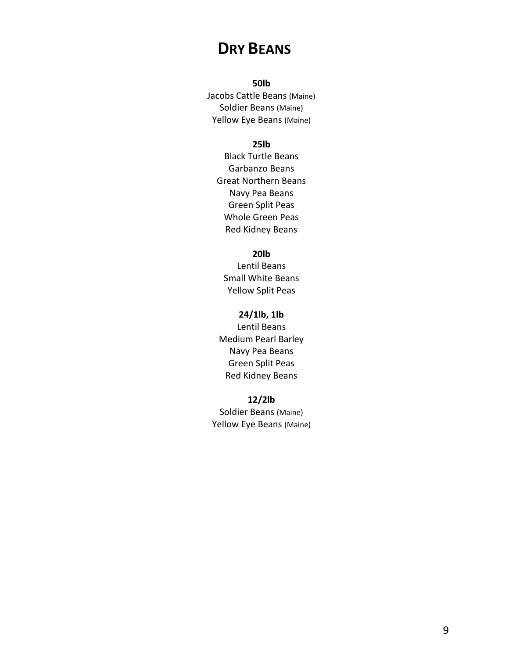# **DRY BEANS**

## **50lb**

Jacobs Cattle Beans (Maine) Soldier Beans (Maine) Yellow Eye Beans (Maine)

## **25lb**

Black Turtle Beans Garbanzo Beans Great Northern Beans Navy Pea Beans Green Split Peas Whole Green Peas Red Kidney Beans

## **20lb**

Lentil Beans Small White Beans Yellow Split Peas

#### **24/1lb, 1lb**

Lentil Beans Medium Pearl Barley Navy Pea Beans Green Split Peas Red Kidney Beans

**12/2lb** Soldier Beans (Maine) Yellow Eye Beans (Maine)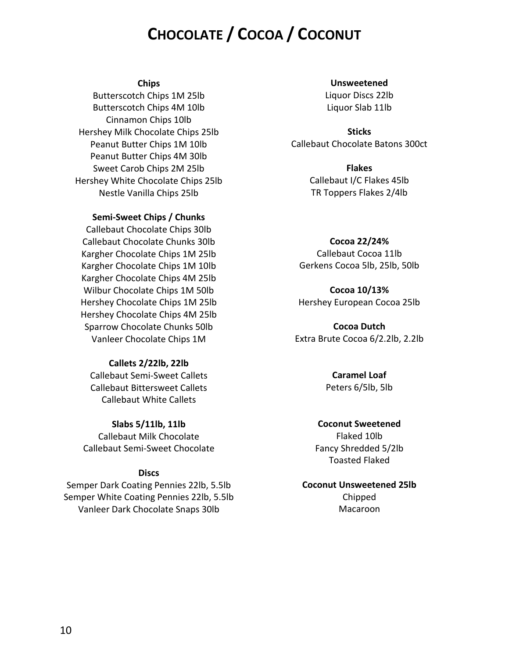# **CHOCOLATE / COCOA / COCONUT**

#### **Chips**

Butterscotch Chips 1M 25lb Butterscotch Chips 4M 10lb Cinnamon Chips 10lb Hershey Milk Chocolate Chips 25lb Peanut Butter Chips 1M 10lb Peanut Butter Chips 4M 30lb Sweet Carob Chips 2M 25lb Hershey White Chocolate Chips 25lb Nestle Vanilla Chips 25lb

#### **Semi-Sweet Chips / Chunks**

Callebaut Chocolate Chips 30lb Callebaut Chocolate Chunks 30lb Kargher Chocolate Chips 1M 25lb Kargher Chocolate Chips 1M 10lb Kargher Chocolate Chips 4M 25lb Wilbur Chocolate Chips 1M 50lb Hershey Chocolate Chips 1M 25lb Hershey Chocolate Chips 4M 25lb Sparrow Chocolate Chunks 50lb Vanleer Chocolate Chips 1M

### **Callets 2/22lb, 22lb**

Callebaut Semi-Sweet Callets Callebaut Bittersweet Callets Callebaut White Callets

#### **Slabs 5/11lb, 11lb**

Callebaut Milk Chocolate Callebaut Semi-Sweet Chocolate

#### **Discs**

Semper Dark Coating Pennies 22lb, 5.5lb Semper White Coating Pennies 22lb, 5.5lb Vanleer Dark Chocolate Snaps 30lb

#### **Unsweetened**

Liquor Discs 22lb Liquor Slab 11lb

**Sticks** Callebaut Chocolate Batons 300ct

> **Flakes** Callebaut I/C Flakes 45lb TR Toppers Flakes 2/4lb

## **Cocoa 22/24%** Callebaut Cocoa 11lb Gerkens Cocoa 5lb, 25lb, 50lb

**Cocoa 10/13%** Hershey European Cocoa 25lb

**Cocoa Dutch** Extra Brute Cocoa 6/2.2lb, 2.2lb

## **Caramel Loaf** Peters 6/5lb, 5lb

#### **Coconut Sweetened**

Flaked 10lb Fancy Shredded 5/2lb Toasted Flaked

#### **Coconut Unsweetened 25lb**

Chipped Macaroon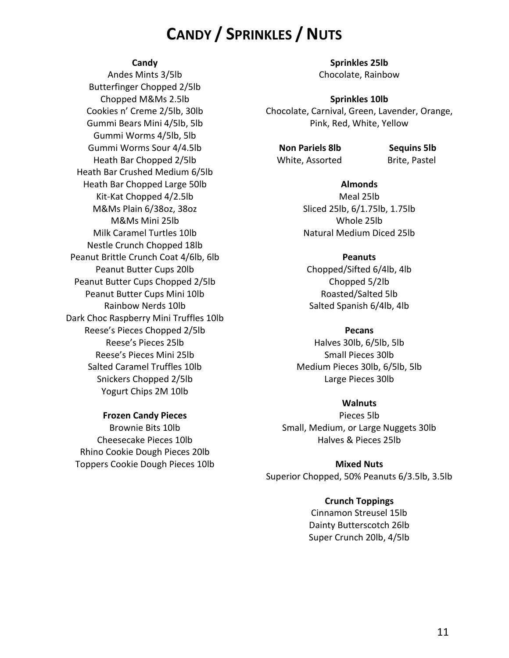# **CANDY / SPRINKLES / NUTS**

#### **Candy**

Andes Mints 3/5lb Butterfinger Chopped 2/5lb Chopped M&Ms 2.5lb Cookies n' Creme 2/5lb, 30lb Gummi Bears Mini 4/5lb, 5lb Gummi Worms 4/5lb, 5lb Gummi Worms Sour 4/4.5lb Heath Bar Chopped 2/5lb Heath Bar Crushed Medium 6/5lb Heath Bar Chopped Large 50lb Kit-Kat Chopped 4/2.5lb M&Ms Plain 6/38oz, 38oz M&Ms Mini 25lb Milk Caramel Turtles 10lb Nestle Crunch Chopped 18lb Peanut Brittle Crunch Coat 4/6lb, 6lb Peanut Butter Cups 20lb Peanut Butter Cups Chopped 2/5lb Peanut Butter Cups Mini 10lb Rainbow Nerds 10lb Dark Choc Raspberry Mini Truffles 10lb Reese's Pieces Chopped 2/5lb Reese's Pieces 25lb Reese's Pieces Mini 25lb Salted Caramel Truffles 10lb Snickers Chopped 2/5lb Yogurt Chips 2M 10lb

#### **Sprinkles 25lb** Chocolate, Rainbow

#### **Sprinkles 10lb**

Chocolate, Carnival, Green, Lavender, Orange, Pink, Red, White, Yellow

**Non Pariels 8lb** Sequins 5lb White, Assorted Brite, Pastel

**Almonds** Meal 25lb Sliced 25lb, 6/1.75lb, 1.75lb Whole 25lb Natural Medium Diced 25lb

#### **Peanuts**

Chopped/Sifted 6/4lb, 4lb Chopped 5/2lb Roasted/Salted 5lb Salted Spanish 6/4lb, 4lb

#### **Pecans**

Halves 30lb, 6/5lb, 5lb Small Pieces 30lb Medium Pieces 30lb, 6/5lb, 5lb Large Pieces 30lb

#### **Walnuts**

Pieces 5lb Small, Medium, or Large Nuggets 30lb Halves & Pieces 25lb

**Mixed Nuts** Superior Chopped, 50% Peanuts 6/3.5lb, 3.5lb

### **Crunch Toppings**

Cinnamon Streusel 15lb Dainty Butterscotch 26lb Super Crunch 20lb, 4/5lb

## **Frozen Candy Pieces**

Brownie Bits 10lb Cheesecake Pieces 10lb Rhino Cookie Dough Pieces 20lb Toppers Cookie Dough Pieces 10lb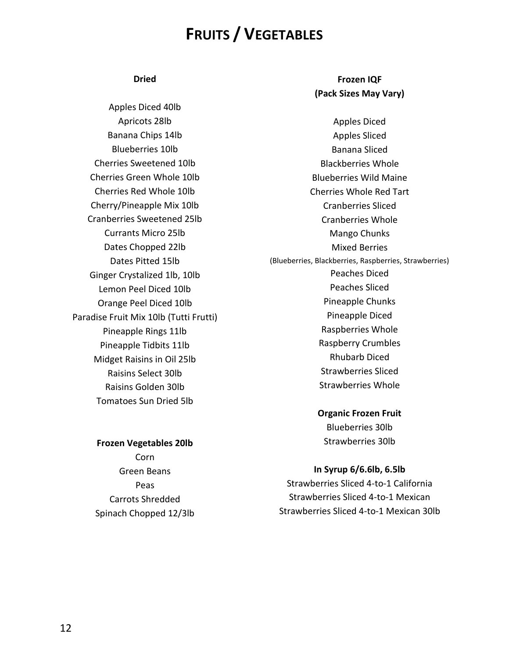# **FRUITS / VEGETABLES**

#### **Dried**

Apples Diced 40lb Apricots 28lb Banana Chips 14lb Blueberries 10lb Cherries Sweetened 10lb Cherries Green Whole 10lb Cherries Red Whole 10lb Cherry/Pineapple Mix 10lb Cranberries Sweetened 25lb Currants Micro 25lb Dates Chopped 22lb Dates Pitted 15lb Ginger Crystalized 1lb, 10lb Lemon Peel Diced 10lb Orange Peel Diced 10lb Paradise Fruit Mix 10lb (Tutti Frutti) Pineapple Rings 11lb Pineapple Tidbits 11lb Midget Raisins in Oil 25lb Raisins Select 30lb Raisins Golden 30lb Tomatoes Sun Dried 5lb

#### **Frozen Vegetables 20lb**

Corn Green Beans Peas Carrots Shredded Spinach Chopped 12/3lb

## **Frozen IQF (Pack Sizes May Vary)**

Apples Diced Apples Sliced Banana Sliced Blackberries Whole Blueberries Wild Maine Cherries Whole Red Tart Cranberries Sliced Cranberries Whole Mango Chunks Mixed Berries (Blueberries, Blackberries, Raspberries, Strawberries) Peaches Diced Peaches Sliced Pineapple Chunks Pineapple Diced Raspberries Whole Raspberry Crumbles Rhubarb Diced Strawberries Sliced Strawberries Whole

> **Organic Frozen Fruit** Blueberries 30lb Strawberries 30lb

#### **In Syrup 6/6.6lb, 6.5lb**

Strawberries Sliced 4-to-1 California Strawberries Sliced 4-to-1 Mexican Strawberries Sliced 4-to-1 Mexican 30lb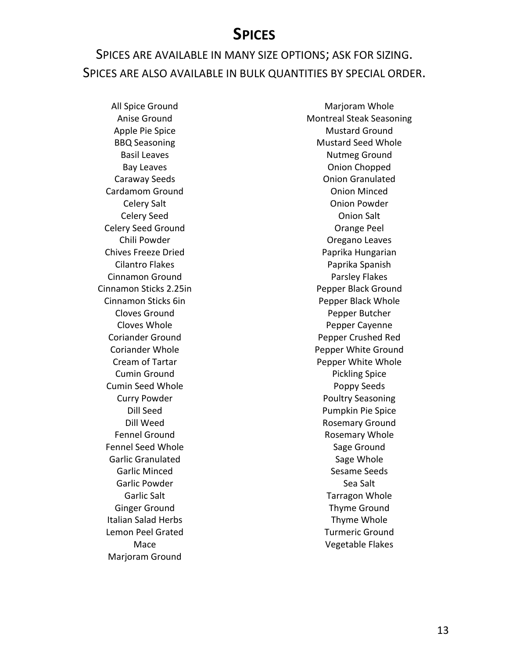# **SPICES**

# SPICES ARE AVAILABLE IN MANY SIZE OPTIONS; ASK FOR SIZING. SPICES ARE ALSO AVAILABLE IN BULK QUANTITIES BY SPECIAL ORDER.

All Spice Ground Anise Ground Apple Pie Spice BBQ Seasoning Basil Leaves Bay Leaves Caraway Seeds Cardamom Ground Celery Salt Celery Seed Celery Seed Ground Chili Powder Chives Freeze Dried Cilantro Flakes Cinnamon Ground Cinnamon Sticks 2.25in Cinnamon Sticks 6in Cloves Ground Cloves Whole Coriander Ground Coriander Whole Cream of Tartar Cumin Ground Cumin Seed Whole Curry Powder Dill Seed Dill Weed Fennel Ground Fennel Seed Whole Garlic Granulated Garlic Minced Garlic Powder Garlic Salt Ginger Ground Italian Salad Herbs Lemon Peel Grated Mace Marjoram Ground

Marjoram Whole Montreal Steak Seasoning Mustard Ground Mustard Seed Whole Nutmeg Ground Onion Chopped Onion Granulated Onion Minced Onion Powder Onion Salt Orange Peel Oregano Leaves Paprika Hungarian Paprika Spanish Parsley Flakes Pepper Black Ground Pepper Black Whole Pepper Butcher Pepper Cayenne Pepper Crushed Red Pepper White Ground Pepper White Whole Pickling Spice Poppy Seeds Poultry Seasoning Pumpkin Pie Spice Rosemary Ground Rosemary Whole Sage Ground Sage Whole Sesame Seeds Sea Salt Tarragon Whole Thyme Ground Thyme Whole Turmeric Ground Vegetable Flakes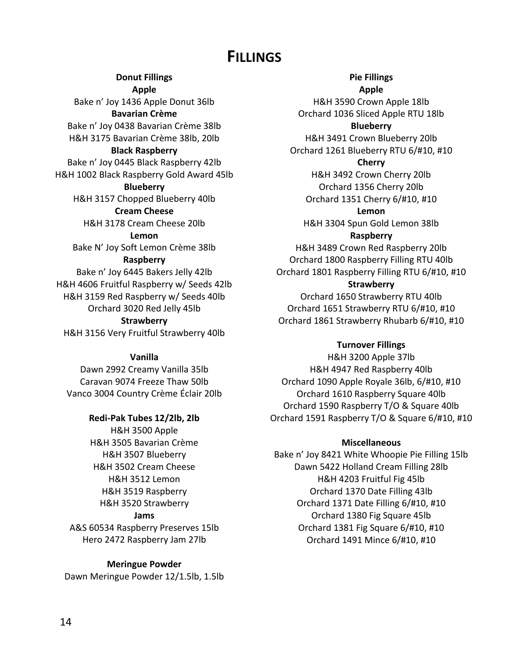# **FILLINGS**

**Donut Fillings Apple** Bake n' Joy 1436 Apple Donut 36lb **Bavarian Crème** Bake n' Joy 0438 Bavarian Crème 38lb H&H 3175 Bavarian Crème 38lb, 20lb **Black Raspberry**  Bake n' Joy 0445 Black Raspberry 42lb H&H 1002 Black Raspberry Gold Award 45lb **Blueberry** H&H 3157 Chopped Blueberry 40lb **Cream Cheese** H&H 3178 Cream Cheese 20lb **Lemon** Bake N' Joy Soft Lemon Crème 38lb **Raspberry** Bake n' Joy 6445 Bakers Jelly 42lb H&H 4606 Fruitful Raspberry w/ Seeds 42lb H&H 3159 Red Raspberry w/ Seeds 40lb Orchard 3020 Red Jelly 45lb **Strawberry** H&H 3156 Very Fruitful Strawberry 40lb

**Vanilla**

Dawn 2992 Creamy Vanilla 35lb Caravan 9074 Freeze Thaw 50lb Vanco 3004 Country Crème Éclair 20lb

## **Redi-Pak Tubes 12/2lb, 2lb**

H&H 3500 Apple H&H 3505 Bavarian Crème H&H 3507 Blueberry H&H 3502 Cream Cheese H&H 3512 Lemon H&H 3519 Raspberry H&H 3520 Strawberry **Jams** A&S 60534 Raspberry Preserves 15lb

Hero 2472 Raspberry Jam 27lb

**Meringue Powder** Dawn Meringue Powder 12/1.5lb, 1.5lb **Pie Fillings**

**Apple** H&H 3590 Crown Apple 18lb Orchard 1036 Sliced Apple RTU 18lb

**Blueberry**

H&H 3491 Crown Blueberry 20lb Orchard 1261 Blueberry RTU 6/#10, #10

### **Cherry**

H&H 3492 Crown Cherry 20lb Orchard 1356 Cherry 20lb Orchard 1351 Cherry 6/#10, #10

**Lemon**

H&H 3304 Spun Gold Lemon 38lb **Raspberry**

H&H 3489 Crown Red Raspberry 20lb Orchard 1800 Raspberry Filling RTU 40lb Orchard 1801 Raspberry Filling RTU 6/#10, #10

## **Strawberry**

Orchard 1650 Strawberry RTU 40lb Orchard 1651 Strawberry RTU 6/#10, #10 Orchard 1861 Strawberry Rhubarb 6/#10, #10

## **Turnover Fillings**

H&H 3200 Apple 37lb H&H 4947 Red Raspberry 40lb Orchard 1090 Apple Royale 36lb, 6/#10, #10 Orchard 1610 Raspberry Square 40lb Orchard 1590 Raspberry T/O & Square 40lb Orchard 1591 Raspberry T/O & Square 6/#10, #10

#### **Miscellaneous**

Bake n' Joy 8421 White Whoopie Pie Filling 15lb Dawn 5422 Holland Cream Filling 28lb H&H 4203 Fruitful Fig 45lb Orchard 1370 Date Filling 43lb Orchard 1371 Date Filling 6/#10, #10 Orchard 1380 Fig Square 45lb Orchard 1381 Fig Square 6/#10, #10 Orchard 1491 Mince 6/#10, #10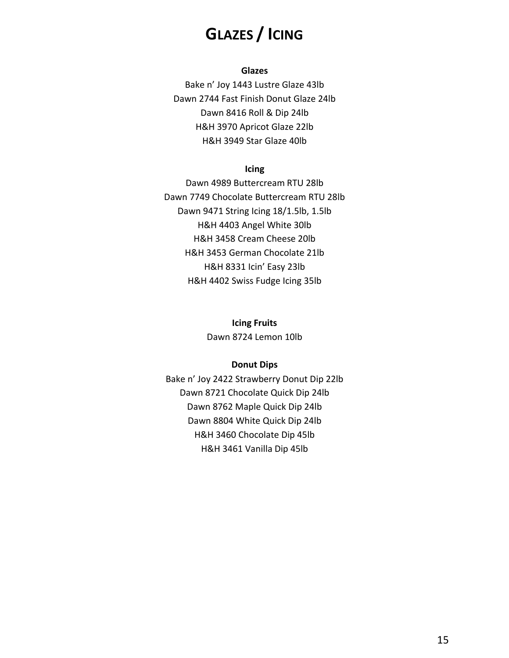# **GLAZES / ICING**

### **Glazes**

Bake n' Joy 1443 Lustre Glaze 43lb Dawn 2744 Fast Finish Donut Glaze 24lb Dawn 8416 Roll & Dip 24lb H&H 3970 Apricot Glaze 22lb H&H 3949 Star Glaze 40lb

## **Icing**

Dawn 4989 Buttercream RTU 28lb Dawn 7749 Chocolate Buttercream RTU 28lb Dawn 9471 String Icing 18/1.5lb, 1.5lb H&H 4403 Angel White 30lb H&H 3458 Cream Cheese 20lb H&H 3453 German Chocolate 21lb H&H 8331 Icin' Easy 23lb H&H 4402 Swiss Fudge Icing 35lb

**Icing Fruits**

Dawn 8724 Lemon 10lb

#### **Donut Dips**

Bake n' Joy 2422 Strawberry Donut Dip 22lb Dawn 8721 Chocolate Quick Dip 24lb Dawn 8762 Maple Quick Dip 24lb Dawn 8804 White Quick Dip 24lb H&H 3460 Chocolate Dip 45lb H&H 3461 Vanilla Dip 45lb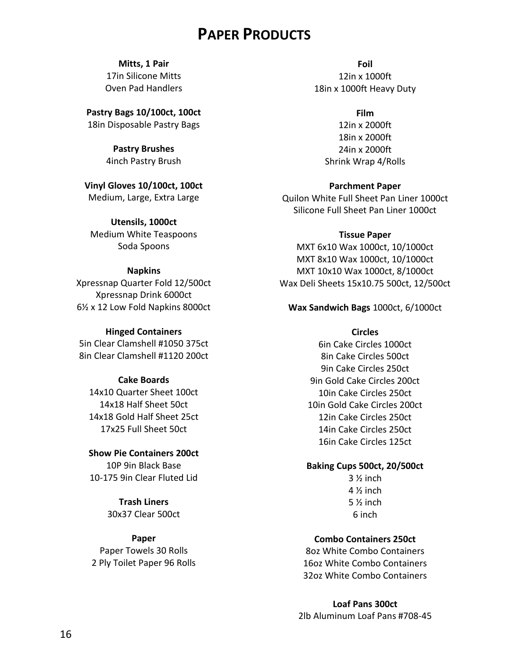# **PAPER PRODUCTS**

**Mitts, 1 Pair** 17in Silicone Mitts Oven Pad Handlers

**Pastry Bags 10/100ct, 100ct** 18in Disposable Pastry Bags

> **Pastry Brushes** 4inch Pastry Brush

**Vinyl Gloves 10/100ct, 100ct** Medium, Large, Extra Large

**Utensils, 1000ct** Medium White Teaspoons Soda Spoons

#### **Napkins**

Xpressnap Quarter Fold 12/500ct Xpressnap Drink 6000ct 6½ x 12 Low Fold Napkins 8000ct

#### **Hinged Containers**

5in Clear Clamshell #1050 375ct 8in Clear Clamshell #1120 200ct

### **Cake Boards**

14x10 Quarter Sheet 100ct 14x18 Half Sheet 50ct 14x18 Gold Half Sheet 25ct 17x25 Full Sheet 50ct

**Show Pie Containers 200ct** 10P 9in Black Base 10-175 9in Clear Fluted Lid

> **Trash Liners** 30x37 Clear 500ct

## **Paper**

Paper Towels 30 Rolls 2 Ply Toilet Paper 96 Rolls

**Foil** 12in x 1000ft 18in x 1000ft Heavy Duty

> **Film** 12in x 2000ft 18in x 2000ft 24in x 2000ft

Shrink Wrap 4/Rolls

**Parchment Paper**

Quilon White Full Sheet Pan Liner 1000ct Silicone Full Sheet Pan Liner 1000ct

#### **Tissue Paper**

MXT 6x10 Wax 1000ct, 10/1000ct MXT 8x10 Wax 1000ct, 10/1000ct MXT 10x10 Wax 1000ct, 8/1000ct Wax Deli Sheets 15x10.75 500ct, 12/500ct

### **Wax Sandwich Bags** 1000ct, 6/1000ct

#### **Circles**

6in Cake Circles 1000ct 8in Cake Circles 500ct 9in Cake Circles 250ct 9in Gold Cake Circles 200ct 10in Cake Circles 250ct 10in Gold Cake Circles 200ct 12in Cake Circles 250ct 14in Cake Circles 250ct 16in Cake Circles 125ct

#### **Baking Cups 500ct, 20/500ct**

 $3\frac{1}{2}$  inch  $4\frac{1}{2}$  inch 5 ½ inch 6 inch

## **Combo Containers 250ct**

8oz White Combo Containers 16oz White Combo Containers 32oz White Combo Containers

### **Loaf Pans 300ct**

2lb Aluminum Loaf Pans #708-45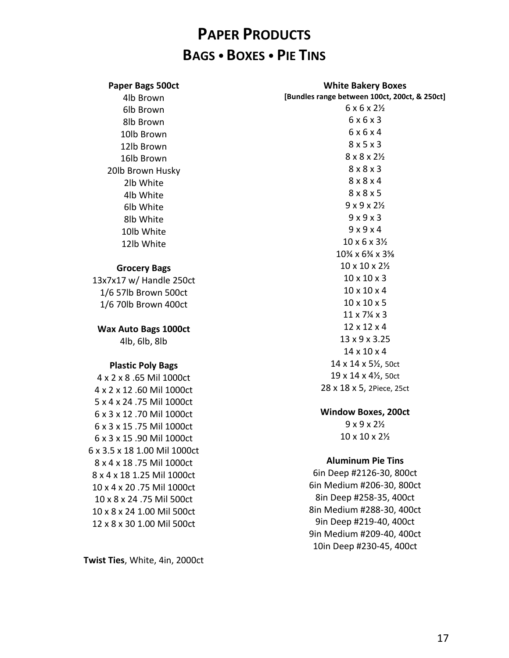# **PAPER PRODUCTS BAGS BOXES PIE TINS**

| Paper Bags 500ct             | <b>White Bakery Boxes</b>                     |
|------------------------------|-----------------------------------------------|
| 4lb Brown                    | [Bundles range between 100ct, 200ct, & 250ct] |
| 6lb Brown                    | $6 \times 6 \times 2\frac{1}{2}$              |
| 8lb Brown                    | 6x6x3                                         |
| 10lb Brown                   | 6x6x4                                         |
| 12lb Brown                   | 8x5x3                                         |
| 16lb Brown                   | $8 \times 8 \times 2\frac{1}{2}$              |
| 20lb Brown Husky             | $8 \times 8 \times 3$                         |
| 2lb White                    | $8 \times 8 \times 4$                         |
| 4lb White                    | 8x8x5                                         |
| 6lb White                    | $9x9x2\frac{1}{2}$                            |
| 8lb White                    | 9x9x3                                         |
| 10lb White                   | 9x9x4                                         |
| 12lb White                   | $10 \times 6 \times 3\frac{1}{2}$             |
|                              | 10% x 6% x 3%                                 |
| <b>Grocery Bags</b>          | 10 x 10 x 21/2                                |
| 13x7x17 w/ Handle 250ct      | $10 \times 10 \times 3$                       |
| 1/6 57lb Brown 500ct         | $10 \times 10 \times 4$                       |
| 1/6 70lb Brown 400ct         | $10 \times 10 \times 5$                       |
|                              | $11 \times 7\frac{1}{4} \times 3$             |
| <b>Wax Auto Bags 1000ct</b>  | 12 x 12 x 4                                   |
| 4lb, 6lb, 8lb                | 13 x 9 x 3.25                                 |
|                              | $14 \times 10 \times 4$                       |
| <b>Plastic Poly Bags</b>     | 14 x 14 x 51/2, 50ct                          |
| 4 x 2 x 8 .65 Mil 1000ct     | 19 x 14 x 41/2, 50ct                          |
| 4 x 2 x 12 .60 Mil 1000ct    | 28 x 18 x 5, 2Piece, 25ct                     |
| 5 x 4 x 24 .75 Mil 1000ct    |                                               |
| 6 x 3 x 12 .70 Mil 1000ct    | <b>Window Boxes, 200ct</b>                    |
| 6 x 3 x 15 .75 Mil 1000ct    | $9 \times 9 \times 2\%$                       |
| 6 x 3 x 15 .90 Mil 1000ct    | 10 x 10 x 21/2                                |
| 6 x 3.5 x 18 1.00 Mil 1000ct |                                               |
| 8 x 4 x 18.75 Mil 1000ct     | <b>Aluminum Pie Tins</b>                      |
| 8 x 4 x 18 1.25 Mil 1000ct   | 6in Deep #2126-30, 800ct                      |
| 10 x 4 x 20 .75 Mil 1000ct   | 6in Medium #206-30, 800ct                     |
| 10 x 8 x 24 .75 Mil 500ct    | 8in Deep #258-35, 400ct                       |
| 10 x 8 x 24 1.00 Mil 500ct   | 8in Medium #288-30, 400ct                     |
| 12 x 8 x 30 1.00 Mil 500ct   | 9in Deep #219-40, 400ct                       |
|                              | 9in Medium #209-40, 400ct                     |

**Twist Ties**, White, 4in, 2000ct

10in Deep #230-45, 400ct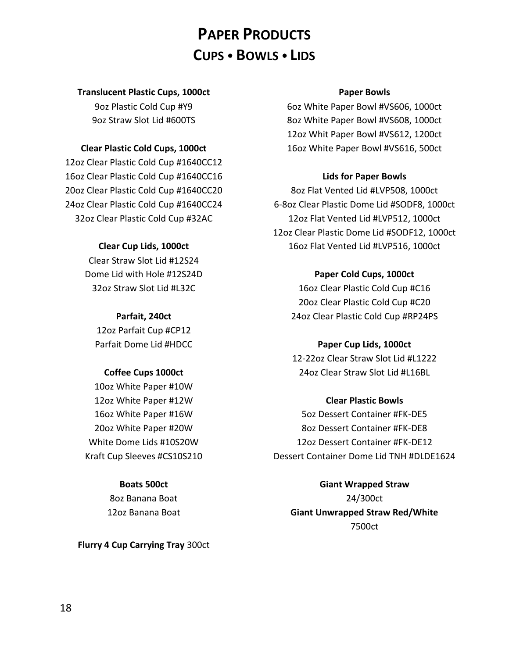# **PAPER PRODUCTS CUPS BOWLS LIDS**

## **Translucent Plastic Cups, 1000ct**

9oz Plastic Cold Cup #Y9 9oz Straw Slot Lid #600TS

## **Clear Plastic Cold Cups, 1000ct**

12oz Clear Plastic Cold Cup #1640CC12 16oz Clear Plastic Cold Cup #1640CC16 20oz Clear Plastic Cold Cup #1640CC20 24oz Clear Plastic Cold Cup #1640CC24 32oz Clear Plastic Cold Cup #32AC

## **Clear Cup Lids, 1000ct**

Clear Straw Slot Lid #12S24 Dome Lid with Hole #12S24D 32oz Straw Slot Lid #L32C

**Parfait, 240ct** 12oz Parfait Cup #CP12 Parfait Dome Lid #HDCC

## **Coffee Cups 1000ct**

10oz White Paper #10W 12oz White Paper #12W 16oz White Paper #16W 20oz White Paper #20W White Dome Lids #10S20W Kraft Cup Sleeves #CS10S210

## **Boats 500ct**

8oz Banana Boat 12oz Banana Boat

**Flurry 4 Cup Carrying Tray** 300ct

### **Paper Bowls**

6oz White Paper Bowl #VS606, 1000ct 8oz White Paper Bowl #VS608, 1000ct 12oz Whit Paper Bowl #VS612, 1200ct 16oz White Paper Bowl #VS616, 500ct

## **Lids for Paper Bowls**

8oz Flat Vented Lid #LVP508, 1000ct 6-8oz Clear Plastic Dome Lid #SODF8, 1000ct 12oz Flat Vented Lid #LVP512, 1000ct 12oz Clear Plastic Dome Lid #SODF12, 1000ct 16oz Flat Vented Lid #LVP516, 1000ct

## **Paper Cold Cups, 1000ct**

16oz Clear Plastic Cold Cup #C16 20oz Clear Plastic Cold Cup #C20 24oz Clear Plastic Cold Cup #RP24PS

## **Paper Cup Lids, 1000ct**

12-22oz Clear Straw Slot Lid #L1222 24oz Clear Straw Slot Lid #L16BL

## **Clear Plastic Bowls**

5oz Dessert Container #FK-DE5 8oz Dessert Container #FK-DE8 12oz Dessert Container #FK-DE12 Dessert Container Dome Lid TNH #DLDE1624

**Giant Wrapped Straw** 24/300ct **Giant Unwrapped Straw Red/White** 7500ct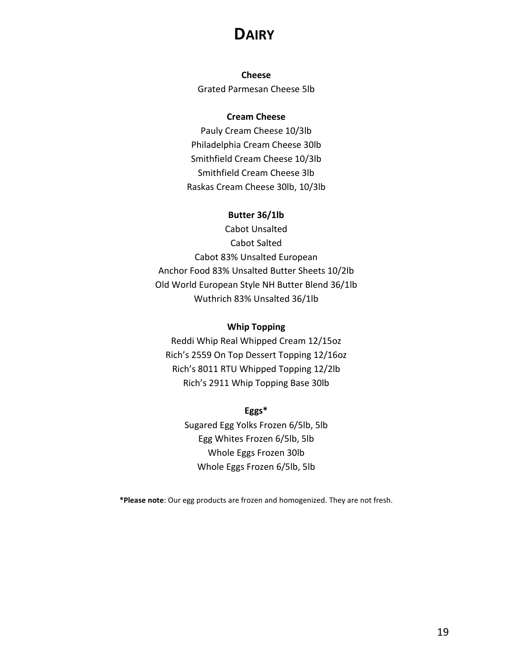# **DAIRY**

**Cheese** Grated Parmesan Cheese 5lb

### **Cream Cheese**

Pauly Cream Cheese 10/3lb Philadelphia Cream Cheese 30lb Smithfield Cream Cheese 10/3lb Smithfield Cream Cheese 3lb Raskas Cream Cheese 30lb, 10/3lb

## **Butter 36/1lb**

Cabot Unsalted Cabot Salted Cabot 83% Unsalted European Anchor Food 83% Unsalted Butter Sheets 10/2lb Old World European Style NH Butter Blend 36/1lb Wuthrich 83% Unsalted 36/1lb

### **Whip Topping**

Reddi Whip Real Whipped Cream 12/15oz Rich's 2559 On Top Dessert Topping 12/16oz Rich's 8011 RTU Whipped Topping 12/2lb Rich's 2911 Whip Topping Base 30lb

## **Eggs\***

Sugared Egg Yolks Frozen 6/5lb, 5lb Egg Whites Frozen 6/5lb, 5lb Whole Eggs Frozen 30lb Whole Eggs Frozen 6/5lb, 5lb

**\*Please note**: Our egg products are frozen and homogenized. They are not fresh.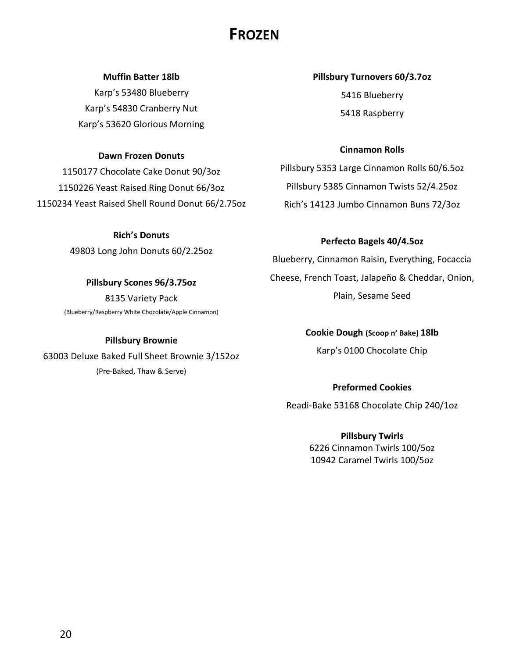# **FROZEN**

### **Muffin Batter 18lb**

Karp's 53480 Blueberry Karp's 54830 Cranberry Nut Karp's 53620 Glorious Morning

### **Dawn Frozen Donuts**

1150177 Chocolate Cake Donut 90/3oz 1150226 Yeast Raised Ring Donut 66/3oz 1150234 Yeast Raised Shell Round Donut 66/2.75oz

> **Rich's Donuts** 49803 Long John Donuts 60/2.25oz

**Pillsbury Scones 96/3.75oz** 8135 Variety Pack (Blueberry/Raspberry White Chocolate/Apple Cinnamon)

**Pillsbury Brownie**  63003 Deluxe Baked Full Sheet Brownie 3/152oz (Pre-Baked, Thaw & Serve)

**Pillsbury Turnovers 60/3.7oz** 5416 Blueberry 5418 Raspberry

## **Cinnamon Rolls**

Pillsbury 5353 Large Cinnamon Rolls 60/6.5oz Pillsbury 5385 Cinnamon Twists 52/4.25oz Rich's 14123 Jumbo Cinnamon Buns 72/3oz

## **Perfecto Bagels 40/4.5oz**

Blueberry, Cinnamon Raisin, Everything, Focaccia Cheese, French Toast, Jalapeño & Cheddar, Onion, Plain, Sesame Seed

**Cookie Dough (Scoop n' Bake) 18lb**

Karp's 0100 Chocolate Chip

**Preformed Cookies** Readi-Bake 53168 Chocolate Chip 240/1oz

> **Pillsbury Twirls** 6226 Cinnamon Twirls 100/5oz 10942 Caramel Twirls 100/5oz